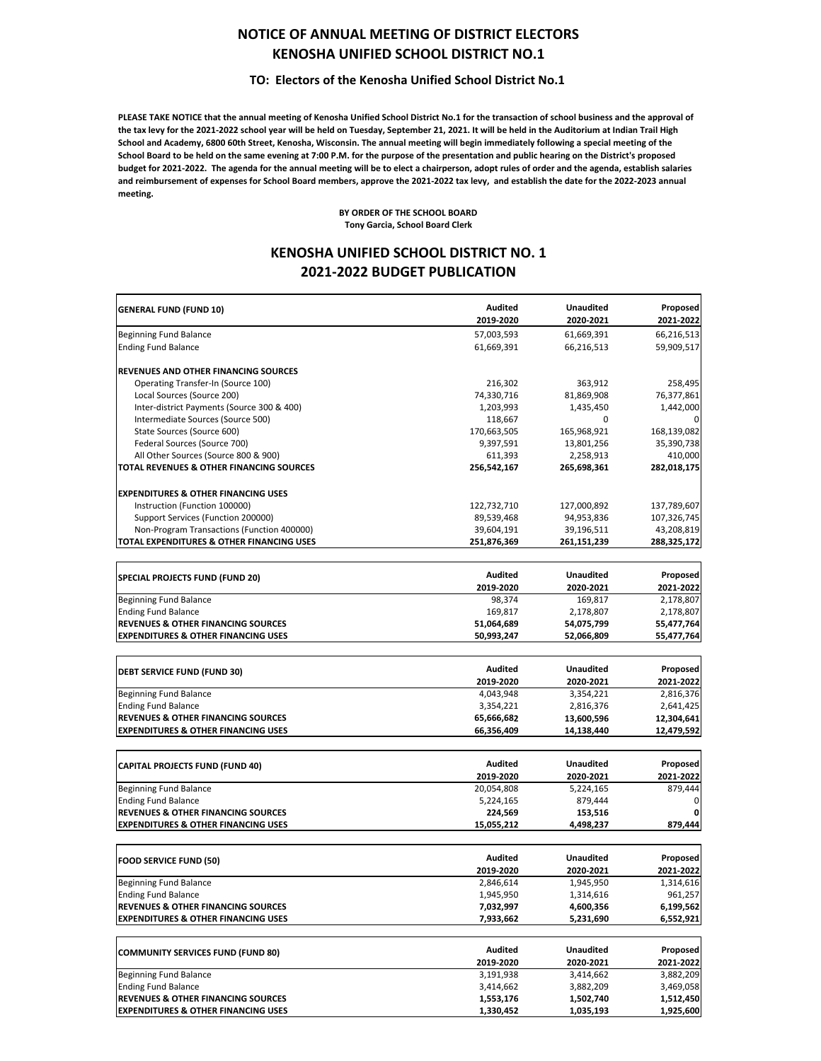## **NOTICE OF ANNUAL MEETING OF DISTRICT ELECTORS KENOSHA UNIFIED SCHOOL DISTRICT NO.1**

### **TO: Electors of the Kenosha Unified School District No.1**

**PLEASE TAKE NOTICE that the annual meeting of Kenosha Unified School District No.1 for the transaction of school business and the approval of the tax levy for the 2021‐2022 school year will be held on Tuesday, September 21, 2021. It will be held in the Auditorium at Indian Trail High School and Academy, 6800 60th Street, Kenosha, Wisconsin. The annual meeting will begin immediately following a special meeting of the School Board to be held on the same evening at 7:00 P.M. for the purpose of the presentation and public hearing on the District's proposed budget for 2021‐2022. The agenda for the annual meeting will be to elect a chairperson, adopt rules of order and the agenda, establish salaries and reimbursement of expenses for School Board members, approve the 2021‐2022 tax levy, and establish the date for the 2022‐2023 annual meeting.**

> **BY ORDER OF THE SCHOOL BOARD Tony Garcia, School Board Clerk**

### **KENOSHA UNIFIED SCHOOL DISTRICT NO. 1 2021‐2022 BUDGET PUBLICATION**

|                                                     | Audited        | <b>Unaudited</b> | Proposed    |
|-----------------------------------------------------|----------------|------------------|-------------|
| <b>GENERAL FUND (FUND 10)</b>                       | 2019-2020      | 2020-2021        | 2021-2022   |
| Beginning Fund Balance                              | 57,003,593     | 61,669,391       | 66,216,513  |
| <b>Ending Fund Balance</b>                          | 61,669,391     | 66,216,513       | 59,909,517  |
|                                                     |                |                  |             |
| REVENUES AND OTHER FINANCING SOURCES                |                |                  |             |
| Operating Transfer-In (Source 100)                  | 216,302        | 363,912          | 258,495     |
| Local Sources (Source 200)                          | 74,330,716     | 81,869,908       | 76,377,861  |
| Inter-district Payments (Source 300 & 400)          | 1,203,993      | 1,435,450        | 1,442,000   |
| Intermediate Sources (Source 500)                   | 118,667        | 0                |             |
| State Sources (Source 600)                          | 170,663,505    | 165,968,921      | 168,139,082 |
| Federal Sources (Source 700)                        | 9,397,591      | 13,801,256       | 35,390,738  |
| All Other Sources (Source 800 & 900)                | 611,393        | 2,258,913        | 410,000     |
| <b>TOTAL REVENUES &amp; OTHER FINANCING SOURCES</b> | 256,542,167    | 265,698,361      | 282,018,175 |
| <b>EXPENDITURES &amp; OTHER FINANCING USES</b>      |                |                  |             |
| Instruction (Function 100000)                       | 122,732,710    | 127,000,892      | 137,789,607 |
| Support Services (Function 200000)                  | 89,539,468     | 94,953,836       | 107,326,745 |
| Non-Program Transactions (Function 400000)          | 39,604,191     | 39,196,511       | 43,208,819  |
| TOTAL EXPENDITURES & OTHER FINANCING USES           | 251,876,369    | 261,151,239      | 288,325,172 |
|                                                     |                |                  |             |
| SPECIAL PROJECTS FUND (FUND 20)                     | <b>Audited</b> | <b>Unaudited</b> | Proposed    |
|                                                     | 2019-2020      | 2020-2021        | 2021-2022   |
| <b>Beginning Fund Balance</b>                       | 98,374         | 169,817          | 2,178,807   |
| <b>Ending Fund Balance</b>                          | 169,817        | 2,178,807        | 2,178,807   |
| <b>REVENUES &amp; OTHER FINANCING SOURCES</b>       | 51,064,689     | 54,075,799       | 55,477,764  |
| <b>EXPENDITURES &amp; OTHER FINANCING USES</b>      | 50,993,247     | 52,066,809       | 55,477,764  |
|                                                     |                |                  |             |
| <b>DEBT SERVICE FUND (FUND 30)</b>                  | <b>Audited</b> | <b>Unaudited</b> | Proposed    |
|                                                     | 2019-2020      | 2020-2021        | 2021-2022   |
| <b>Beginning Fund Balance</b>                       | 4,043,948      | 3,354,221        | 2,816,376   |
| <b>Ending Fund Balance</b>                          | 3,354,221      | 2,816,376        | 2,641,425   |
| <b>REVENUES &amp; OTHER FINANCING SOURCES</b>       | 65,666,682     | 13,600,596       | 12,304,641  |
| <b>EXPENDITURES &amp; OTHER FINANCING USES</b>      | 66,356,409     | 14,138,440       | 12,479,592  |
|                                                     |                |                  |             |
| <b>CAPITAL PROJECTS FUND (FUND 40)</b>              | <b>Audited</b> | <b>Unaudited</b> | Proposed    |
|                                                     | 2019-2020      | 2020-2021        | 2021-2022   |
| Beginning Fund Balance                              | 20,054,808     | 5,224,165        | 879,444     |
| <b>Ending Fund Balance</b>                          | 5,224,165      | 879,444          |             |
| <b>REVENUES &amp; OTHER FINANCING SOURCES</b>       | 224,569        | 153,516          |             |
| <b>EXPENDITURES &amp; OTHER FINANCING USES</b>      | 15,055,212     | 4,498,237        | 879,444     |
|                                                     |                |                  |             |
| <b>FOOD SERVICE FUND (50)</b>                       | <b>Audited</b> | <b>Unaudited</b> | Proposed    |
|                                                     | 2019-2020      | 2020-2021        | 2021-2022   |
| <b>Beginning Fund Balance</b>                       | 2,846,614      | 1,945,950        | 1,314,616   |
| <b>Ending Fund Balance</b>                          | 1,945,950      | 1.314.616        | 961,257     |
| <b>REVENUES &amp; OTHER FINANCING SOURCES</b>       | 7,032,997      | 4,600,356        | 6,199,562   |
| <b>EXPENDITURES &amp; OTHER FINANCING USES</b>      | 7,933,662      | 5,231,690        | 6,552,921   |
|                                                     |                |                  |             |
| <b>COMMUNITY SERVICES FUND (FUND 80)</b>            | <b>Audited</b> | <b>Unaudited</b> | Proposed    |
|                                                     | 2019-2020      | 2020-2021        | 2021-2022   |
| <b>Beginning Fund Balance</b>                       | 3,191,938      | 3,414,662        | 3,882,209   |
| <b>Ending Fund Balance</b>                          | 3,414,662      | 3,882,209        | 3,469,058   |
| <b>REVENUES &amp; OTHER FINANCING SOURCES</b>       | 1553176        | 1502740          | 1.512.450   |

**EXPENDITURES & OTHER FINANCING USES 1,330,452 1,035,193 1,925,600**